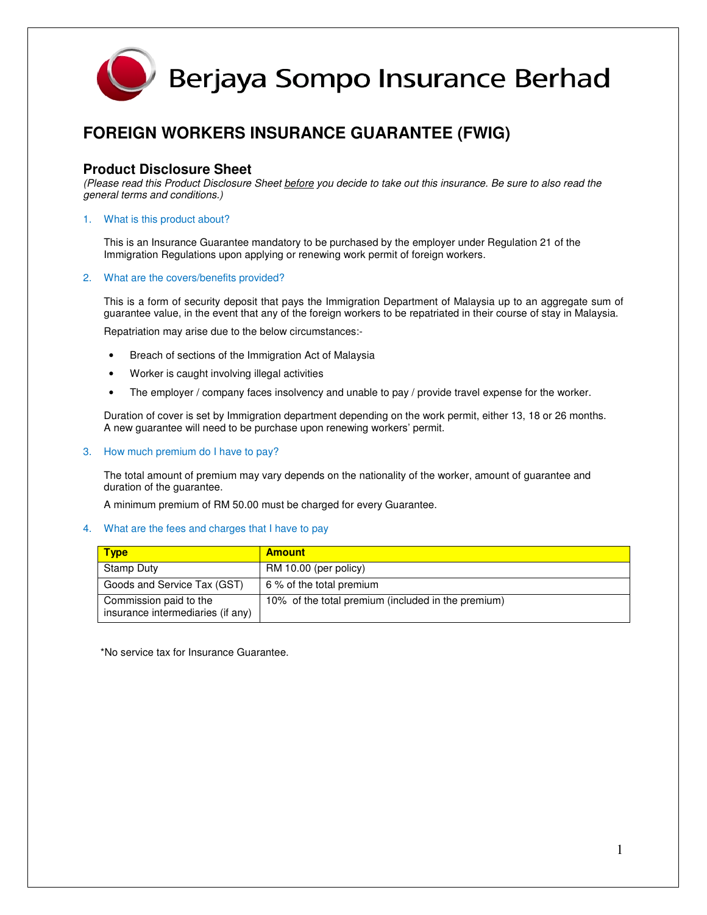

### **FOREIGN WORKERS INSURANCE GUARANTEE (FWIG)**

### **Product Disclosure Sheet**

(Please read this Product Disclosure Sheet before you decide to take out this insurance. Be sure to also read the general terms and conditions.)

#### 1. What is this product about?

This is an Insurance Guarantee mandatory to be purchased by the employer under Regulation 21 of the Immigration Regulations upon applying or renewing work permit of foreign workers.

#### 2. What are the covers/benefits provided?

This is a form of security deposit that pays the Immigration Department of Malaysia up to an aggregate sum of guarantee value, in the event that any of the foreign workers to be repatriated in their course of stay in Malaysia.

Repatriation may arise due to the below circumstances:-

- Breach of sections of the Immigration Act of Malaysia
- Worker is caught involving illegal activities
- The employer / company faces insolvency and unable to pay / provide travel expense for the worker.

Duration of cover is set by Immigration department depending on the work permit, either 13, 18 or 26 months. A new guarantee will need to be purchase upon renewing workers' permit.

3. How much premium do I have to pay?

The total amount of premium may vary depends on the nationality of the worker, amount of guarantee and duration of the guarantee.

A minimum premium of RM 50.00 must be charged for every Guarantee.

#### 4. What are the fees and charges that I have to pay

| <b>Type</b>                                                 | <b>Amount</b>                                      |
|-------------------------------------------------------------|----------------------------------------------------|
| Stamp Duty                                                  | RM 10.00 (per policy)                              |
| Goods and Service Tax (GST)                                 | 6 % of the total premium                           |
| Commission paid to the<br>insurance intermediaries (if any) | 10% of the total premium (included in the premium) |

\*No service tax for Insurance Guarantee.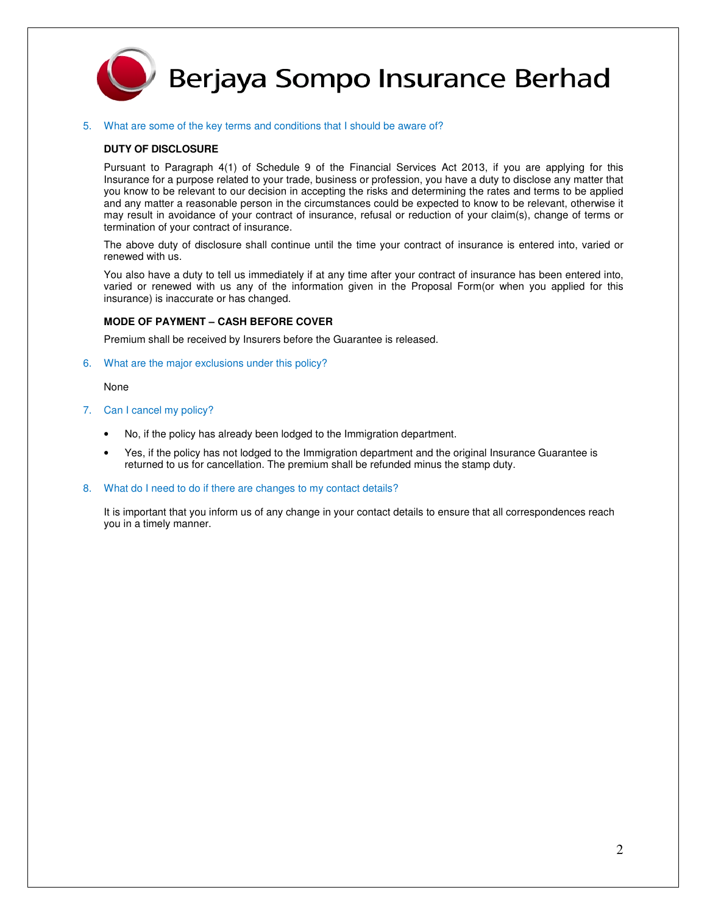

## Berjaya Sompo Insurance Berhad

#### 5. What are some of the key terms and conditions that I should be aware of?

#### **DUTY OF DISCLOSURE**

Pursuant to Paragraph 4(1) of Schedule 9 of the Financial Services Act 2013, if you are applying for this Insurance for a purpose related to your trade, business or profession, you have a duty to disclose any matter that you know to be relevant to our decision in accepting the risks and determining the rates and terms to be applied and any matter a reasonable person in the circumstances could be expected to know to be relevant, otherwise it may result in avoidance of your contract of insurance, refusal or reduction of your claim(s), change of terms or termination of your contract of insurance.

The above duty of disclosure shall continue until the time your contract of insurance is entered into, varied or renewed with us.

You also have a duty to tell us immediately if at any time after your contract of insurance has been entered into, varied or renewed with us any of the information given in the Proposal Form(or when you applied for this insurance) is inaccurate or has changed.

#### **MODE OF PAYMENT – CASH BEFORE COVER**

Premium shall be received by Insurers before the Guarantee is released.

6. What are the major exclusions under this policy?

None

- 7. Can I cancel my policy?
	- No, if the policy has already been lodged to the Immigration department.
	- Yes, if the policy has not lodged to the Immigration department and the original Insurance Guarantee is returned to us for cancellation. The premium shall be refunded minus the stamp duty.
- 8. What do I need to do if there are changes to my contact details?

It is important that you inform us of any change in your contact details to ensure that all correspondences reach you in a timely manner.